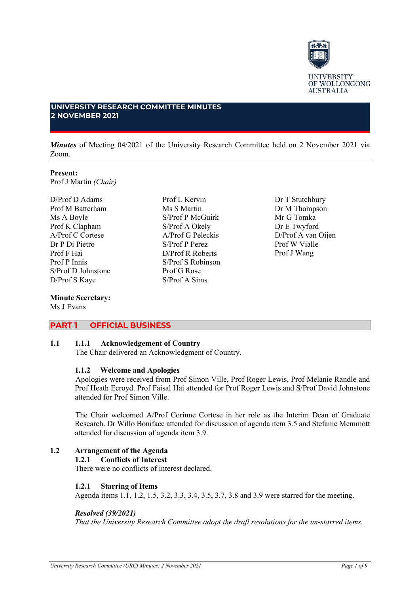

# **UNIVERSITY RESEARCH COMMITTEE MINUTES 2 NOVEMBER 2021**

*Minutes* of Meeting 04/2021 of the University Research Committee held on 2 November 2021 via Zoom.

# **Present:**

Prof J Martin *(Chair)*

D/Prof D Adams Prof M Batterham Ms A Boyle Prof K Clapham A/Prof C Cortese Dr P Di Pietro Prof F Hai Prof P Innis S/Prof D Johnstone D/Prof S Kaye

#### **Minute Secretary:** Ms J Evans

Ms S Martin S/Prof P McGuirk S/Prof A Okely A/Prof G Peleckis S/Prof P Perez D/Prof R Roberts S/Prof S Robinson Prof G Rose S/Prof A Sims

Prof L Kervin

Dr T Stutchbury Dr M Thompson Mr G Tomka Dr E Twyford D/Prof A van Oijen Prof W Vialle Prof J Wang

# **PART 1 OFFICIAL BUSINESS**

# **1.1 1.1.1 Acknowledgement of Country**

The Chair delivered an Acknowledgment of Country.

## **1.1.2 Welcome and Apologies**

Apologies were received from Prof Simon Ville, Prof Roger Lewis, Prof Melanie Randle and Prof Heath Ecroyd. Prof Faisal Hai attended for Prof Roger Lewis and S/Prof David Johnstone attended for Prof Simon Ville.

The Chair welcomed A/Prof Corinne Cortese in her role as the Interim Dean of Graduate Research. Dr Willo Boniface attended for discussion of agenda item 3.5 and Stefanie Memmott attended for discussion of agenda item 3.9.

# **1.2 Arrangement of the Agenda**

## **1.2.1 Conflicts of Interest**

There were no conflicts of interest declared.

## **1.2.1 Starring of Items**

Agenda items 1.1, 1.2, 1.5, 3.2, 3.3, 3.4, 3.5, 3.7, 3.8 and 3.9 were starred for the meeting.

## *Resolved (39/2021)*

*That the University Research Committee adopt the draft resolutions for the un-starred items.*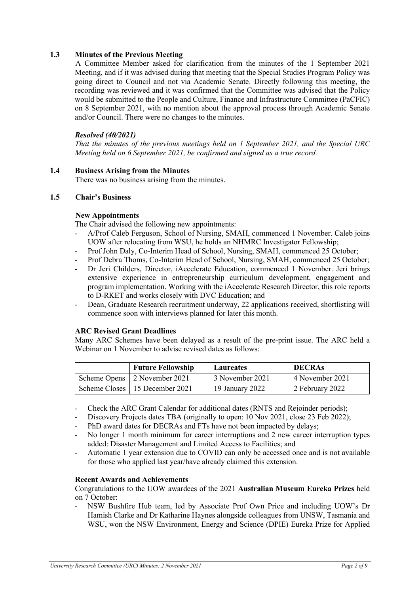# **1.3 Minutes of the Previous Meeting**

A Committee Member asked for clarification from the minutes of the 1 September 2021 Meeting, and if it was advised during that meeting that the Special Studies Program Policy was going direct to Council and not via Academic Senate. Directly following this meeting, the recording was reviewed and it was confirmed that the Committee was advised that the Policy would be submitted to the People and Culture, Finance and Infrastructure Committee (PaCFIC) on 8 September 2021, with no mention about the approval process through Academic Senate and/or Council. There were no changes to the minutes.

## *Resolved (40/2021)*

*That the minutes of the previous meetings held on 1 September 2021, and the Special URC Meeting held on 6 September 2021, be confirmed and signed as a true record.*

## **1.4 Business Arising from the Minutes**

There was no business arising from the minutes.

# **1.5 Chair's Business**

### **New Appointments**

The Chair advised the following new appointments:

- A/Prof Caleb Ferguson, School of Nursing, SMAH, commenced 1 November. Caleb joins UOW after relocating from WSU, he holds an NHMRC Investigator Fellowship;
- Prof John Daly, Co-Interim Head of School, Nursing, SMAH, commenced 25 October;
- Prof Debra Thoms, Co-Interim Head of School, Nursing, SMAH, commenced 25 October;
- Dr Jeri Childers, Director, iAccelerate Education, commenced 1 November. Jeri brings extensive experience in entrepreneurship curriculum development, engagement and program implementation. Working with the iAccelerate Research Director, this role reports to D-RKET and works closely with DVC Education; and
- Dean, Graduate Research recruitment underway, 22 applications received, shortlisting will commence soon with interviews planned for later this month.

## **ARC Revised Grant Deadlines**

Many ARC Schemes have been delayed as a result of the pre-print issue. The ARC held a Webinar on 1 November to advise revised dates as follows:

| <b>Future Fellowship</b>         | Laureates       | <b>DECRAS</b>   |
|----------------------------------|-----------------|-----------------|
| Scheme Opens 2 November 2021     | 3 November 2021 | 4 November 2021 |
| Scheme Closes   15 December 2021 | 19 January 2022 | 2 February 2022 |

- Check the ARC Grant Calendar for additional dates (RNTS and Rejoinder periods);
- Discovery Projects dates TBA (originally to open: 10 Nov 2021, close 23 Feb 2022);
- PhD award dates for DECRAs and FTs have not been impacted by delays;
- No longer 1 month minimum for career interruptions and 2 new career interruption types added: Disaster Management and Limited Access to Facilities; and
- Automatic 1 year extension due to COVID can only be accessed once and is not available for those who applied last year/have already claimed this extension.

#### **Recent Awards and Achievements**

Congratulations to the UOW awardees of the 2021 **Australian Museum Eureka Prizes** held on 7 October:

- NSW Bushfire Hub team, led by Associate Prof Own Price and including UOW's Dr Hamish Clarke and Dr Katharine Haynes alongside colleagues from UNSW, Tasmania and WSU, won the NSW Environment, Energy and Science (DPIE) Eureka Prize for Applied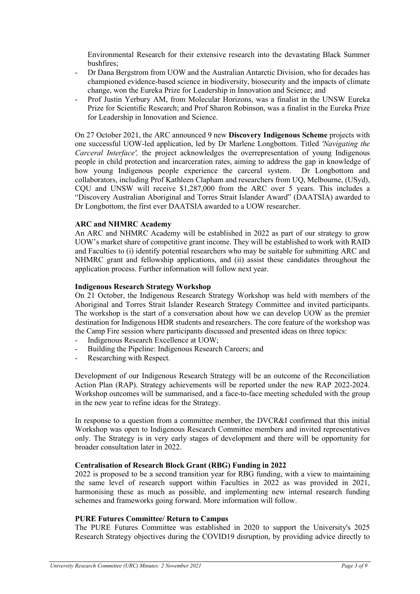Environmental Research for their extensive research into the devastating Black Summer bushfires;

- Dr Dana Bergstrom from UOW and the Australian Antarctic Division, who for decades has championed evidence-based science in biodiversity, biosecurity and the impacts of climate change, won the Eureka Prize for Leadership in Innovation and Science; and
- Prof Justin Yerbury AM, from Molecular Horizons, was a finalist in the UNSW Eureka Prize for Scientific Research; and Prof Sharon Robinson, was a finalist in the Eureka Prize for Leadership in Innovation and Science.

On 27 October 2021, the ARC announced 9 new **Discovery Indigenous Scheme** projects with one successful UOW-led application, led by Dr Marlene Longbottom. Titled *'Navigating the Carceral Interface',* the project acknowledges the overrepresentation of young Indigenous people in child protection and incarceration rates, aiming to address the gap in knowledge of how young Indigenous people experience the carceral system. Dr Longbottom and collaborators, including Prof Kathleen Clapham and researchers from UQ, Melbourne, (USyd), CQU and UNSW will receive \$1,287,000 from the ARC over 5 years. This includes a "Discovery Australian Aboriginal and Torres Strait Islander Award" (DAATSIA) awarded to Dr Longbottom, the first ever DAATSIA awarded to a UOW researcher.

## **ARC and NHMRC Academy**

An ARC and NHMRC Academy will be established in 2022 as part of our strategy to grow UOW's market share of competitive grant income. They will be established to work with RAID and Faculties to (i) identify potential researchers who may be suitable for submitting ARC and NHMRC grant and fellowship applications, and (ii) assist these candidates throughout the application process. Further information will follow next year.

## **Indigenous Research Strategy Workshop**

On 21 October, the Indigenous Research Strategy Workshop was held with members of the Aboriginal and Torres Strait Islander Research Strategy Committee and invited participants. The workshop is the start of a conversation about how we can develop UOW as the premier destination for Indigenous HDR students and researchers. The core feature of the workshop was the Camp Fire session where participants discussed and presented ideas on three topics:

- Indigenous Research Excellence at UOW;
- Building the Pipeline: Indigenous Research Careers; and
- Researching with Respect.

Development of our Indigenous Research Strategy will be an outcome of the Reconciliation Action Plan (RAP). Strategy achievements will be reported under the new RAP 2022-2024. Workshop outcomes will be summarised, and a face-to-face meeting scheduled with the group in the new year to refine ideas for the Strategy.

In response to a question from a committee member, the DVCR&I confirmed that this initial Workshop was open to Indigenous Research Committee members and invited representatives only. The Strategy is in very early stages of development and there will be opportunity for broader consultation later in 2022.

## **Centralisation of Research Block Grant (RBG) Funding in 2022**

2022 is proposed to be a second transition year for RBG funding, with a view to maintaining the same level of research support within Faculties in 2022 as was provided in 2021, harmonising these as much as possible, and implementing new internal research funding schemes and frameworks going forward. More information will follow.

## **PURE Futures Committee/ Return to Campus**

The PURE Futures Committee was established in 2020 to support the University's 2025 Research Strategy objectives during the COVID19 disruption, by providing advice directly to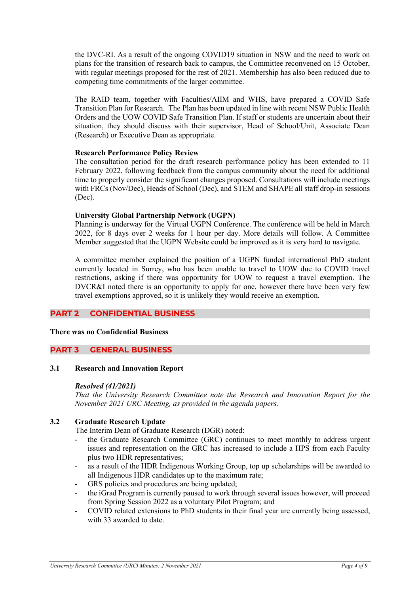the DVC-RI. As a result of the ongoing COVID19 situation in NSW and the need to work on plans for the transition of research back to campus, the Committee reconvened on 15 October, with regular meetings proposed for the rest of 2021. Membership has also been reduced due to competing time commitments of the larger committee.

The RAID team, together with Faculties/AIIM and WHS, have prepared a [COVID Safe](https://intranet.uow.edu.au/content/groups/public/@web/@intranet-coronavirus/documents/doc/uow270128.pdf)  [Transition Plan for Research.](https://intranet.uow.edu.au/content/groups/public/@web/@intranet-coronavirus/documents/doc/uow270128.pdf) The [Plan](https://intranet.uow.edu.au/content/groups/public/@web/@intranet-coronavirus/documents/doc/uow270128.pdf) has been updated in line with recent NSW Public Health Orders and the UOW [COVID Safe Transition Plan.](https://documents.uow.edu.au/content/groups/public/@web/@pmcd/@smc/documents/doc/uow270778.pdf) If staff or students are uncertain about their situation, they should discuss with their supervisor, Head of School/Unit, Associate Dean (Research) or Executive Dean as appropriate.

# **Research Performance Policy Review**

The consultation period for the draft research performance policy has been extended to 11 February 2022, following feedback from the campus community about the need for additional time to properly consider the significant changes proposed. Consultations will include meetings with FRCs (Nov/Dec), Heads of School (Dec), and STEM and SHAPE all staff drop-in sessions (Dec).

# **University Global Partnership Network (UGPN)**

Planning is underway for the Virtual UGPN Conference. The conference will be held in March 2022, for 8 days over 2 weeks for 1 hour per day. More details will follow. A Committee Member suggested that the UGPN Website could be improved as it is very hard to navigate.

A committee member explained the position of a UGPN funded international PhD student currently located in Surrey, who has been unable to travel to UOW due to COVID travel restrictions, asking if there was opportunity for UOW to request a travel exemption. The DVCR&I noted there is an opportunity to apply for one, however there have been very few travel exemptions approved, so it is unlikely they would receive an exemption.

# **PART 2 CONFIDENTIAL BUSINESS**

## **There was no Confidential Business**

# **PART 3 GENERAL BUSINESS**

# **3.1 Research and Innovation Report**

## *Resolved (41/2021)*

*That the University Research Committee note the Research and Innovation Report for the November 2021 URC Meeting, as provided in the agenda papers.*

# **3.2 Graduate Research Update**

The Interim Dean of Graduate Research (DGR) noted:

- the Graduate Research Committee (GRC) continues to meet monthly to address urgent issues and representation on the GRC has increased to include a HPS from each Faculty plus two HDR representatives;
- as a result of the HDR Indigenous Working Group, top up scholarships will be awarded to all Indigenous HDR candidates up to the maximum rate;
- GRS policies and procedures are being updated;
- the iGrad Program is currently paused to work through several issues however, will proceed from Spring Session 2022 as a voluntary Pilot Program; and
- COVID related extensions to PhD students in their final year are currently being assessed, with 33 awarded to date.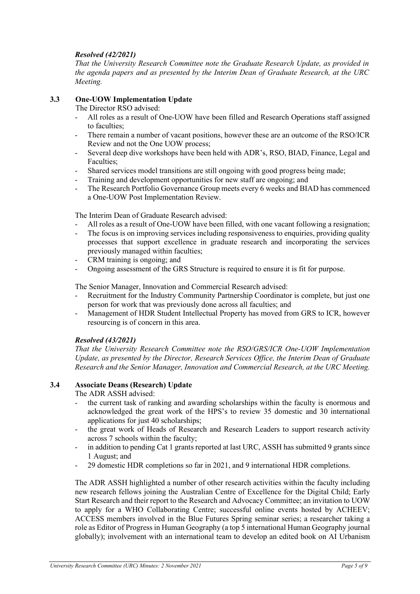# *Resolved (42/2021)*

*That the University Research Committee note the Graduate Research Update, as provided in the agenda papers and as presented by the Interim Dean of Graduate Research, at the URC Meeting.*

# **3.3 One-UOW Implementation Update**

The Director RSO advised:

- All roles as a result of One-UOW have been filled and Research Operations staff assigned to faculties;
- There remain a number of vacant positions, however these are an outcome of the RSO/ICR Review and not the One UOW process;
- Several deep dive workshops have been held with ADR's, RSO, BIAD, Finance, Legal and Faculties;
- Shared services model transitions are still ongoing with good progress being made;
- Training and development opportunities for new staff are ongoing; and
- The Research Portfolio Governance Group meets every 6 weeks and BIAD has commenced a One-UOW Post Implementation Review.

The Interim Dean of Graduate Research advised:

- All roles as a result of One-UOW have been filled, with one vacant following a resignation;
- The focus is on improving services including responsiveness to enquiries, providing quality processes that support excellence in graduate research and incorporating the services previously managed within faculties;
- CRM training is ongoing; and
- Ongoing assessment of the GRS Structure is required to ensure it is fit for purpose.

The Senior Manager, Innovation and Commercial Research advised:

- Recruitment for the Industry Community Partnership Coordinator is complete, but just one person for work that was previously done across all faculties; and
- Management of HDR Student Intellectual Property has moved from GRS to ICR, however resourcing is of concern in this area.

# *Resolved (43/2021)*

*That the University Research Committee note the RSO/GRS/ICR One-UOW Implementation Update, as presented by the Director, Research Services Office, the Interim Dean of Graduate Research and the Senior Manager, Innovation and Commercial Research, at the URC Meeting.*

# **3.4 Associate Deans (Research) Update**

The ADR ASSH advised:

- the current task of ranking and awarding scholarships within the faculty is enormous and acknowledged the great work of the HPS's to review 35 domestic and 30 international applications for just 40 scholarships;
- the great work of Heads of Research and Research Leaders to support research activity across 7 schools within the faculty;
- in addition to pending Cat 1 grants reported at last URC, ASSH has submitted 9 grants since 1 August; and
- 29 domestic HDR completions so far in 2021, and 9 international HDR completions.

The ADR ASSH highlighted a number of other research activities within the faculty including new research fellows joining the Australian Centre of Excellence for the Digital Child; Early Start Research and their report to the Research and Advocacy Committee; an invitation to UOW to apply for a WHO Collaborating Centre; successful online events hosted by ACHEEV; ACCESS members involved in the Blue Futures Spring seminar series; a researcher taking a role as Editor of Progress in Human Geography (a top 5 international Human Geography journal globally); involvement with an international team to develop an edited book on AI Urbanism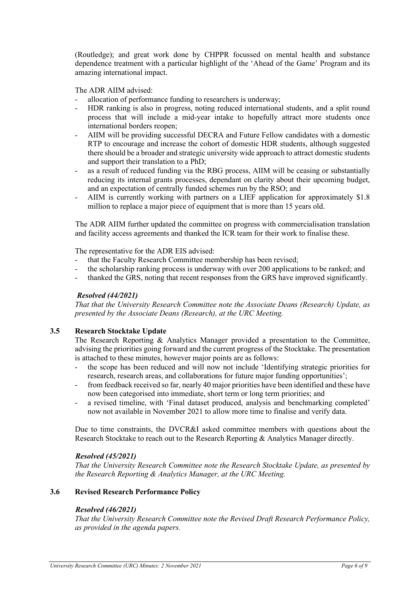(Routledge); and great work done by CHPPR focussed on mental health and substance dependence treatment with a particular highlight of the 'Ahead of the Game' Program and its amazing international impact.

The ADR AIIM advised:

- allocation of performance funding to researchers is underway;
- HDR ranking is also in progress, noting reduced international students, and a split round process that will include a mid-year intake to hopefully attract more students once international borders reopen;
- AIIM will be providing successful DECRA and Future Fellow candidates with a domestic RTP to encourage and increase the cohort of domestic HDR students, although suggested there should be a broader and strategic university wide approach to attract domestic students and support their translation to a PhD;
- as a result of reduced funding via the RBG process, AIIM will be ceasing or substantially reducing its internal grants processes, dependant on clarity about their upcoming budget, and an expectation of centrally funded schemes run by the RSO; and
- AIIM is currently working with partners on a LIEF application for approximately \$1.8 million to replace a major piece of equipment that is more than 15 years old.

The ADR AIIM further updated the committee on progress with commercialisation translation and facility access agreements and thanked the ICR team for their work to finalise these.

The representative for the ADR EIS advised:

- that the Faculty Research Committee membership has been revised;
- the scholarship ranking process is underway with over 200 applications to be ranked; and
- thanked the GRS, noting that recent responses from the GRS have improved significantly.

### *Resolved (44/2021)*

*That that the University Research Committee note the Associate Deans (Research) Update, as presented by the Associate Deans (Research), at the URC Meeting.*

# **3.5 Research Stocktake Update**

The Research Reporting & Analytics Manager provided a presentation to the Committee, advising the priorities going forward and the current progress of the Stocktake. The presentation is attached to these minutes, however major points are as follows:

- the scope has been reduced and will now not include 'Identifying strategic priorities for research, research areas, and collaborations for future major funding opportunities';
- from feedback received so far, nearly 40 major priorities have been identified and these have now been categorised into immediate, short term or long term priorities; and
- a revised timeline, with 'Final dataset produced, analysis and benchmarking completed' now not available in November 2021 to allow more time to finalise and verify data.

Due to time constraints, the DVCR&I asked committee members with questions about the Research Stocktake to reach out to the Research Reporting & Analytics Manager directly.

## *Resolved (45/2021)*

*That the University Research Committee note the Research Stocktake Update, as presented by the Research Reporting & Analytics Manager, at the URC Meeting.*

## **3.6 Revised Research Performance Policy**

#### *Resolved (46/2021)*

*That the University Research Committee note the Revised Draft Research Performance Policy, as provided in the agenda papers.*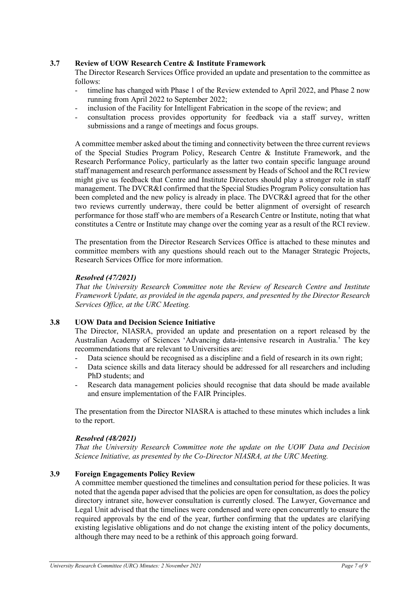# **3.7 Review of UOW Research Centre & Institute Framework**

The Director Research Services Office provided an update and presentation to the committee as follows:

- timeline has changed with Phase 1 of the Review extended to April 2022, and Phase 2 now running from April 2022 to September 2022;
- inclusion of the Facility for Intelligent Fabrication in the scope of the review; and
- consultation process provides opportunity for feedback via a staff survey, written submissions and a range of meetings and focus groups.

A committee member asked about the timing and connectivity between the three current reviews of the Special Studies Program Policy, Research Centre & Institute Framework, and the Research Performance Policy, particularly as the latter two contain specific language around staff management and research performance assessment by Heads of School and the RCI review might give us feedback that Centre and Institute Directors should play a stronger role in staff management. The DVCR&I confirmed that the Special Studies Program Policy consultation has been completed and the new policy is already in place. The DVCR&I agreed that for the other two reviews currently underway, there could be better alignment of oversight of research performance for those staff who are members of a Research Centre or Institute, noting that what constitutes a Centre or Institute may change over the coming year as a result of the RCI review.

The presentation from the Director Research Services Office is attached to these minutes and committee members with any questions should reach out to the Manager Strategic Projects, Research Services Office for more information.

# *Resolved (47/2021)*

*That the University Research Committee note the Review of Research Centre and Institute Framework Update, as provided in the agenda papers, and presented by the Director Research Services Office, at the URC Meeting.*

# **3.8 UOW Data and Decision Science Initiative**

The Director, NIASRA, provided an update and presentation on a report released by the Australian Academy of Sciences 'Advancing data-intensive research in Australia.' The key recommendations that are relevant to Universities are:

- Data science should be recognised as a discipline and a field of research in its own right;
- Data science skills and data literacy should be addressed for all researchers and including PhD students; and
- Research data management policies should recognise that data should be made available and ensure implementation of the FAIR Principles.

The presentation from the Director NIASRA is attached to these minutes which includes a link to the report.

## *Resolved (48/2021)*

*That the University Research Committee note the update on the UOW Data and Decision Science Initiative, as presented by the Co-Director NIASRA, at the URC Meeting.*

# **3.9 Foreign Engagements Policy Review**

A committee member questioned the timelines and consultation period for these policies. It was noted that the agenda paper advised that the policies are open for consultation, as does the policy directory intranet site, however consultation is currently closed. The Lawyer, Governance and Legal Unit advised that the timelines were condensed and were open concurrently to ensure the required approvals by the end of the year, further confirming that the updates are clarifying existing legislative obligations and do not change the existing intent of the policy documents, although there may need to be a rethink of this approach going forward.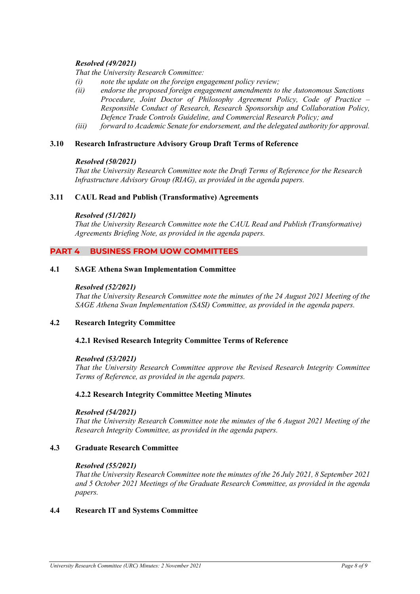# *Resolved (49/2021)*

*That the University Research Committee:*

- *(i) note the update on the foreign engagement policy review;*
- *(ii) endorse the proposed foreign engagement amendments to the Autonomous Sanctions Procedure, Joint Doctor of Philosophy Agreement Policy, Code of Practice – Responsible Conduct of Research, Research Sponsorship and Collaboration Policy, Defence Trade Controls Guideline, and Commercial Research Policy; and*
- *(iii) forward to Academic Senate for endorsement, and the delegated authority for approval.*

## **3.10 Research Infrastructure Advisory Group Draft Terms of Reference**

## *Resolved (50/2021)*

*That the University Research Committee note the Draft Terms of Reference for the Research Infrastructure Advisory Group (RIAG), as provided in the agenda papers.*

## **3.11 CAUL Read and Publish (Transformative) Agreements**

### *Resolved (51/2021)*

*That the University Research Committee note the CAUL Read and Publish (Transformative) Agreements Briefing Note, as provided in the agenda papers.*

# **PART 4 BUSINESS FROM UOW COMMITTEES**

### **4.1 SAGE Athena Swan Implementation Committee**

#### *Resolved (52/2021)*

*That the University Research Committee note the minutes of the 24 August 2021 Meeting of the SAGE Athena Swan Implementation (SASI) Committee, as provided in the agenda papers.*

## **4.2 Research Integrity Committee**

## **4.2.1 Revised Research Integrity Committee Terms of Reference**

#### *Resolved (53/2021)*

*That the University Research Committee approve the Revised Research Integrity Committee Terms of Reference, as provided in the agenda papers.*

## **4.2.2 Research Integrity Committee Meeting Minutes**

### *Resolved (54/2021)*

*That the University Research Committee note the minutes of the 6 August 2021 Meeting of the Research Integrity Committee, as provided in the agenda papers.*

## **4.3 Graduate Research Committee**

#### *Resolved (55/2021)*

*That the University Research Committee note the minutes of the 26 July 2021, 8 September 2021 and 5 October 2021 Meetings of the Graduate Research Committee, as provided in the agenda papers.*

#### **4.4 Research IT and Systems Committee**